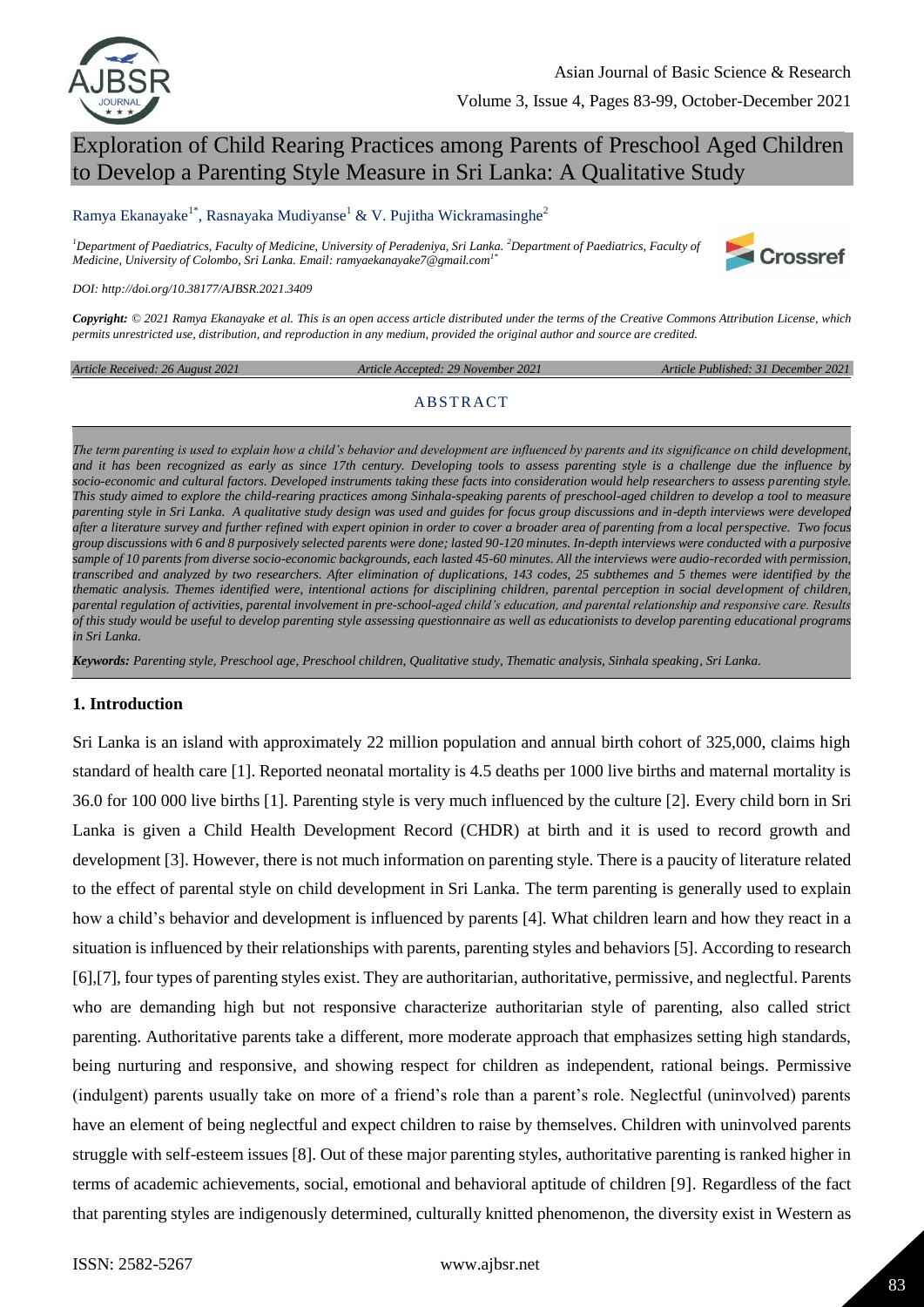

# Exploration of Child Rearing Practices among Parents of Preschool Aged Children to Develop a Parenting Style Measure in Sri Lanka: A Qualitative Study

### Ramya Ekanayake<sup>1\*</sup>, Rasnayaka Mudiyanse<sup>1</sup> & V. Pujitha Wickramasinghe<sup>2</sup>

*<sup>1</sup>Department of Paediatrics, Faculty of Medicine, University of Peradeniya, Sri Lanka. <sup>2</sup>Department of Paediatrics, Faculty of Medicine, University of Colombo, Sri Lanka. Email: ramyaekanayake7@gmail.com1\**



*DOI: http://doi.org/10.38177/AJBSR.2021.3409*

*Copyright: © 2021 Ramya Ekanayake et al. This is an open access article distributed under the terms of the Creative Commons Attribution License, which permits unrestricted use, distribution, and reproduction in any medium, provided the original author and source are credited.* 

*Article Received: 26 August 2021 Article Accepted: 29 November 2021 Article Published: 31 December 2021*

#### **ABSTRACT**

*The term parenting is used to explain how a child"s behavior and development are influenced by parents and its significance on child development, and it has been recognized as early as since 17th century. Developing tools to assess parenting style is a challenge due the influence by socio-economic and cultural factors. Developed instruments taking these facts into consideration would help researchers to assess parenting style. This study aimed to explore the child-rearing practices among Sinhala-speaking parents of preschool-aged children to develop a tool to measure parenting style in Sri Lanka. A qualitative study design was used and guides for focus group discussions and in-depth interviews were developed after a literature survey and further refined with expert opinion in order to cover a broader area of parenting from a local perspective. Two focus group discussions with 6 and 8 purposively selected parents were done; lasted 90-120 minutes. In-depth interviews were conducted with a purposive sample of 10 parents from diverse socio-economic backgrounds, each lasted 45-60 minutes. All the interviews were audio-recorded with permission, transcribed and analyzed by two researchers. After elimination of duplications, 143 codes, 25 subthemes and 5 themes were identified by the thematic analysis. Themes identified were, intentional actions for disciplining children, parental perception in social development of children, parental regulation of activities, parental involvement in pre-school-aged child"s education, and parental relationship and responsive care. Results of this study would be useful to develop parenting style assessing questionnaire as well as educationists to develop parenting educational programs in Sri Lanka.*

*Keywords: Parenting style, Preschool age, Preschool children, Qualitative study, Thematic analysis, Sinhala speaking, Sri Lanka.*

### **1. Introduction**

Sri Lanka is an island with approximately 22 million population and annual birth cohort of 325,000, claims high standard of health care [1]. Reported neonatal mortality is 4.5 deaths per 1000 live births and maternal mortality is 36.0 for 100 000 live births [1]. Parenting style is very much influenced by the culture [2]. Every child born in Sri Lanka is given a Child Health Development Record (CHDR) at birth and it is used to record growth and development [3]. However, there is not much information on parenting style. There is a paucity of literature related to the effect of parental style on child development in Sri Lanka. The term parenting is generally used to explain how a child's behavior and development is influenced by parents [4]. What children learn and how they react in a situation is influenced by their relationships with parents, parenting styles and behaviors [5]. According to research [6],[7], four types of parenting styles exist. They are authoritarian, authoritative, permissive, and neglectful. Parents who are demanding high but not responsive characterize authoritarian style of parenting, also called strict parenting. Authoritative parents take a different, more moderate approach that emphasizes setting high standards, being nurturing and responsive, and showing respect for children as independent, rational beings. Permissive (indulgent) parents usually take on more of a friend's role than a parent's role. Neglectful (uninvolved) parents have an element of being neglectful and expect children to raise by themselves. Children with uninvolved parents struggle with self-esteem issues [8]. Out of these major parenting styles, authoritative parenting is ranked higher in terms of academic achievements, social, emotional and behavioral aptitude of children [9]. Regardless of the fact that parenting styles are indigenously determined, culturally knitted phenomenon, the diversity exist in Western as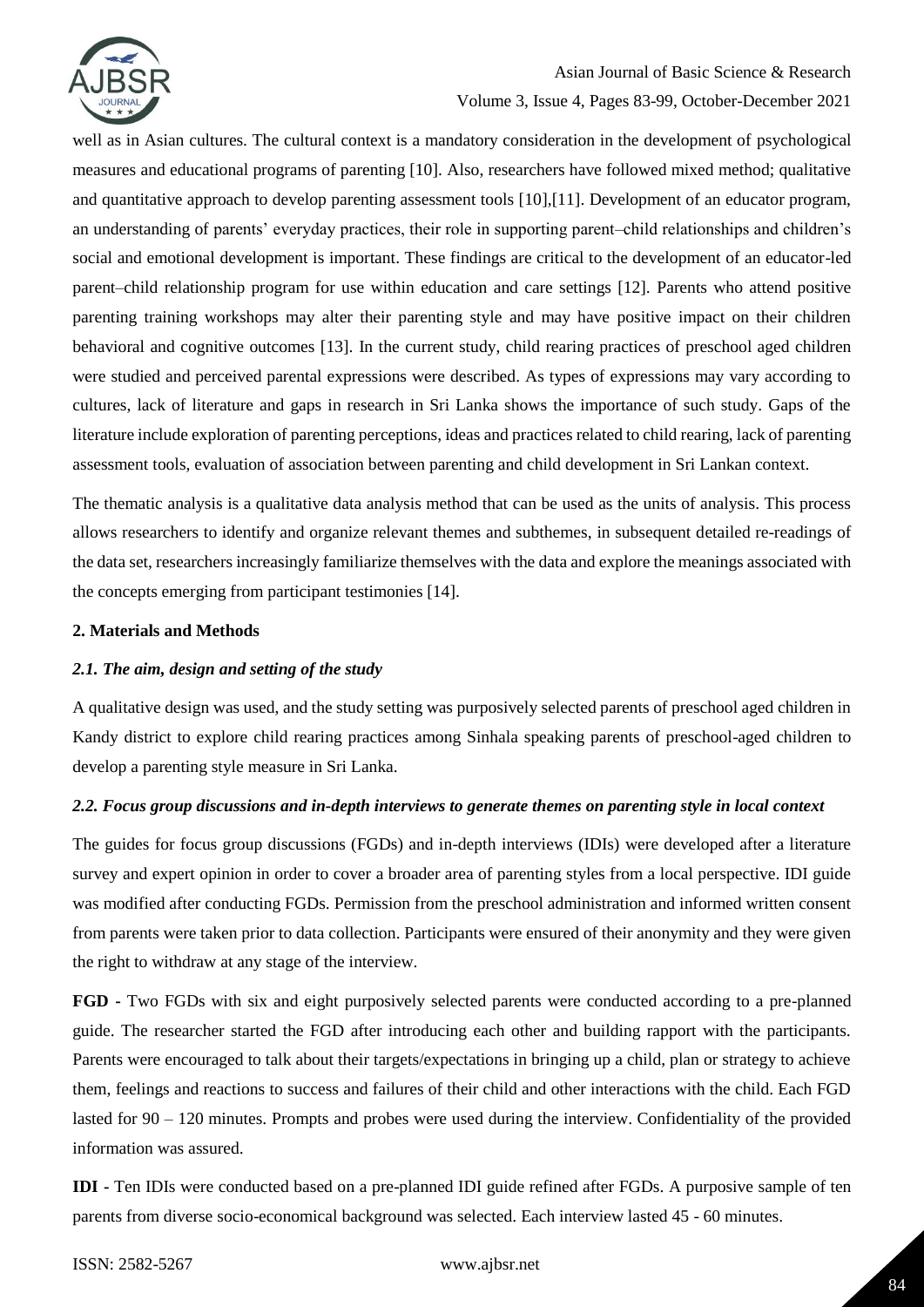

# Asian Journal of Basic Science & Research

## Volume 3, Issue 4, Pages 83-99, October-December 2021

well as in Asian cultures. The cultural context is a mandatory consideration in the development of psychological measures and educational programs of parenting [10]. Also, researchers have followed mixed method; qualitative and quantitative approach to develop parenting assessment tools [10],[11]. Development of an educator program, an understanding of parents' everyday practices, their role in supporting parent–child relationships and children's social and emotional development is important. These findings are critical to the development of an educator-led parent–child relationship program for use within education and care settings [12]. Parents who attend positive parenting training workshops may alter their parenting style and may have positive impact on their children behavioral and cognitive outcomes [13]. In the current study, child rearing practices of preschool aged children were studied and perceived parental expressions were described. As types of expressions may vary according to cultures, lack of literature and gaps in research in Sri Lanka shows the importance of such study. Gaps of the literature include exploration of parenting perceptions, ideas and practices related to child rearing, lack of parenting assessment tools, evaluation of association between parenting and child development in Sri Lankan context.

The thematic analysis is a qualitative data analysis method that can be used as the units of analysis. This process allows researchers to identify and organize relevant themes and subthemes, in subsequent detailed re-readings of the data set, researchers increasingly familiarize themselves with the data and explore the meanings associated with the concepts emerging from participant testimonies [14].

### **2. Materials and Methods**

### *2.1. The aim, design and setting of the study*

A qualitative design was used, and the study setting was purposively selected parents of preschool aged children in Kandy district to explore child rearing practices among Sinhala speaking parents of preschool-aged children to develop a parenting style measure in Sri Lanka.

## *2.2. Focus group discussions and in-depth interviews to generate themes on parenting style in local context*

The guides for focus group discussions (FGDs) and in-depth interviews (IDIs) were developed after a literature survey and expert opinion in order to cover a broader area of parenting styles from a local perspective. IDI guide was modified after conducting FGDs. Permission from the preschool administration and informed written consent from parents were taken prior to data collection. Participants were ensured of their anonymity and they were given the right to withdraw at any stage of the interview.

**FGD -** Two FGDs with six and eight purposively selected parents were conducted according to a pre-planned guide. The researcher started the FGD after introducing each other and building rapport with the participants. Parents were encouraged to talk about their targets/expectations in bringing up a child, plan or strategy to achieve them, feelings and reactions to success and failures of their child and other interactions with the child. Each FGD lasted for 90 – 120 minutes. Prompts and probes were used during the interview. Confidentiality of the provided information was assured.

**IDI -** Ten IDIs were conducted based on a pre-planned IDI guide refined after FGDs. A purposive sample of ten parents from diverse socio-economical background was selected. Each interview lasted 45 - 60 minutes.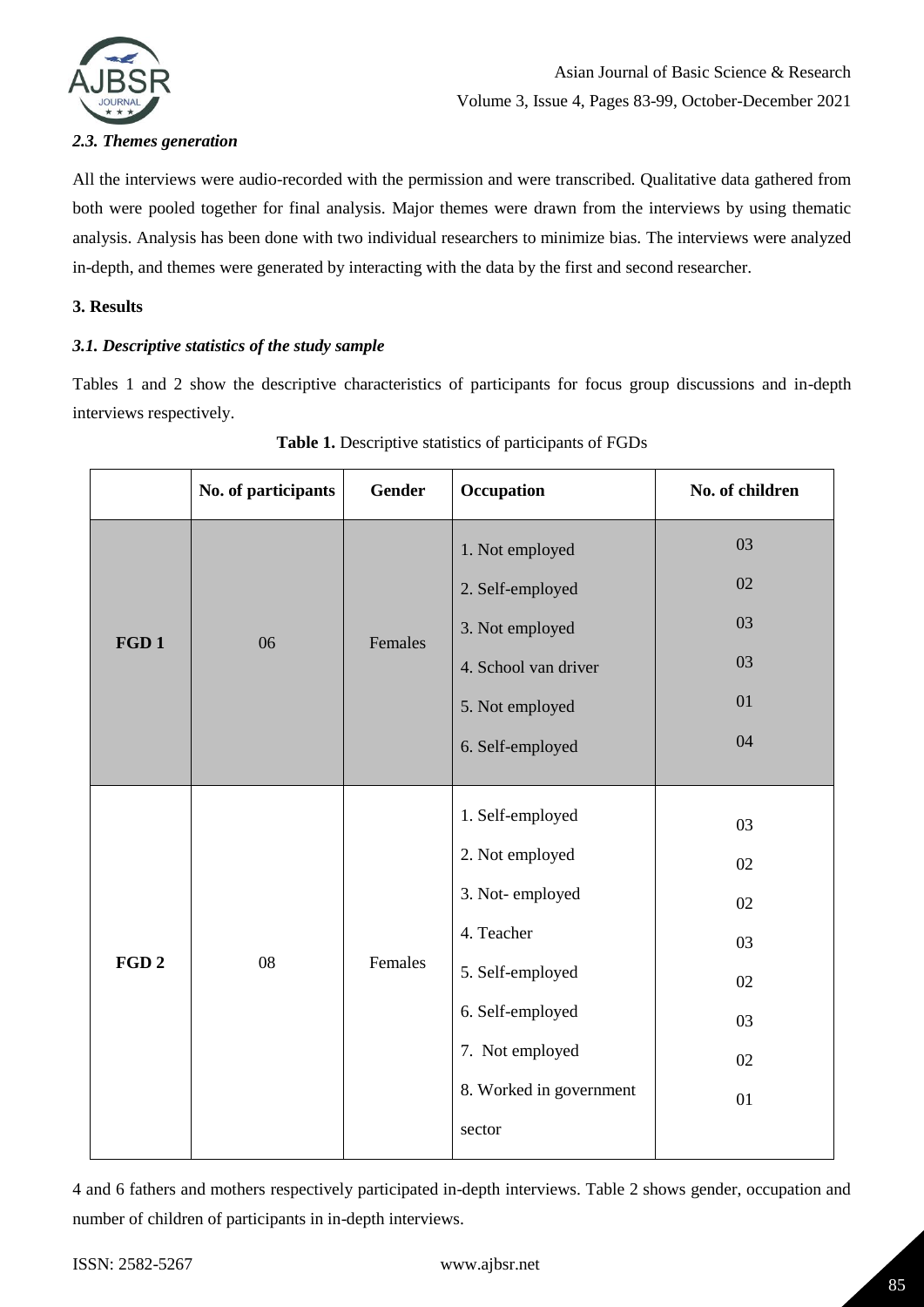

## *2.3. Themes generation*

All the interviews were audio-recorded with the permission and were transcribed. Qualitative data gathered from both were pooled together for final analysis. Major themes were drawn from the interviews by using thematic analysis. Analysis has been done with two individual researchers to minimize bias. The interviews were analyzed in-depth, and themes were generated by interacting with the data by the first and second researcher.

### **3. Results**

### *3.1. Descriptive statistics of the study sample*

Tables 1 and 2 show the descriptive characteristics of participants for focus group discussions and in-depth interviews respectively.

|                  | No. of participants | <b>Gender</b> | Occupation              | No. of children |
|------------------|---------------------|---------------|-------------------------|-----------------|
|                  |                     |               | 1. Not employed         | 03              |
|                  |                     | Females       | 2. Self-employed        | 02              |
| FGD <sub>1</sub> | 06                  |               | 3. Not employed         | 03              |
|                  |                     |               | 4. School van driver    | 03              |
|                  |                     |               | 5. Not employed         | 01              |
|                  |                     |               | 6. Self-employed        | 04              |
|                  |                     |               |                         |                 |
|                  | 08                  | Females       | 1. Self-employed        | 03              |
|                  |                     |               | 2. Not employed         | 02              |
|                  |                     |               | 3. Not-employed         | 02              |
|                  |                     |               | 4. Teacher              | 03              |
| FGD <sub>2</sub> |                     |               | 5. Self-employed        | 02              |
|                  |                     |               | 6. Self-employed        | 03              |
|                  |                     |               | 7. Not employed         | 02              |
|                  |                     |               | 8. Worked in government | 01              |
|                  |                     |               | sector                  |                 |
|                  |                     |               |                         |                 |

| Table 1. Descriptive statistics of participants of FGDs |
|---------------------------------------------------------|
|---------------------------------------------------------|

4 and 6 fathers and mothers respectively participated in-depth interviews. Table 2 shows gender, occupation and number of children of participants in in-depth interviews.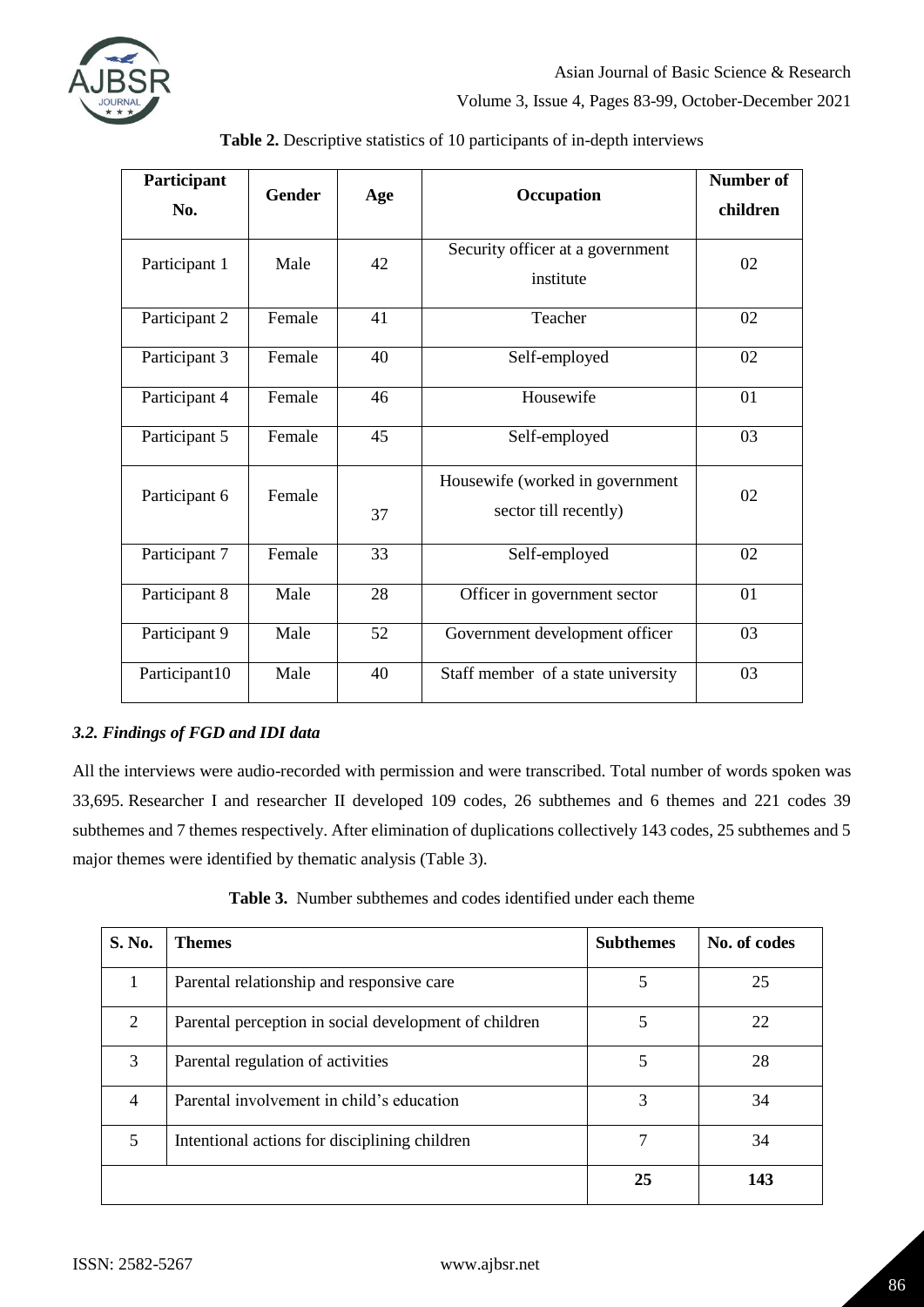

| Participant<br>No. | <b>Gender</b> | Age | Occupation                                               | <b>Number of</b><br>children |
|--------------------|---------------|-----|----------------------------------------------------------|------------------------------|
| Participant 1      | Male          | 42  | Security officer at a government<br>institute            | 02                           |
| Participant 2      | Female        | 41  | Teacher                                                  | 02                           |
| Participant 3      | Female        | 40  | Self-employed                                            | 02                           |
| Participant 4      | Female        | 46  | Housewife                                                | 01                           |
| Participant 5      | Female        | 45  | Self-employed                                            | 03                           |
| Participant 6      | Female        | 37  | Housewife (worked in government<br>sector till recently) | 02                           |
| Participant 7      | Female        | 33  | Self-employed                                            | 02                           |
| Participant 8      | Male          | 28  | Officer in government sector                             | 01                           |
| Participant 9      | Male          | 52  | Government development officer                           | 03                           |
| Participant10      | Male          | 40  | Staff member of a state university                       | 03                           |

**Table 2.** Descriptive statistics of 10 participants of in-depth interviews

## *3.2. Findings of FGD and IDI data*

All the interviews were audio-recorded with permission and were transcribed. Total number of words spoken was 33,695. Researcher I and researcher II developed 109 codes, 26 subthemes and 6 themes and 221 codes 39 subthemes and 7 themes respectively. After elimination of duplications collectively 143 codes, 25 subthemes and 5 major themes were identified by thematic analysis (Table 3).

**Table 3.** Number subthemes and codes identified under each theme

| S. No.         | <b>Themes</b>                                         | <b>Subthemes</b> | No. of codes |
|----------------|-------------------------------------------------------|------------------|--------------|
| 1              | Parental relationship and responsive care             | 5                | 25           |
| 2              | Parental perception in social development of children | 5                | 22           |
| 3              | Parental regulation of activities                     | 5                | 28           |
| $\overline{4}$ | Parental involvement in child's education             | 3                | 34           |
| 5              | Intentional actions for disciplining children         | 7                | 34           |
|                |                                                       | 25               | 143          |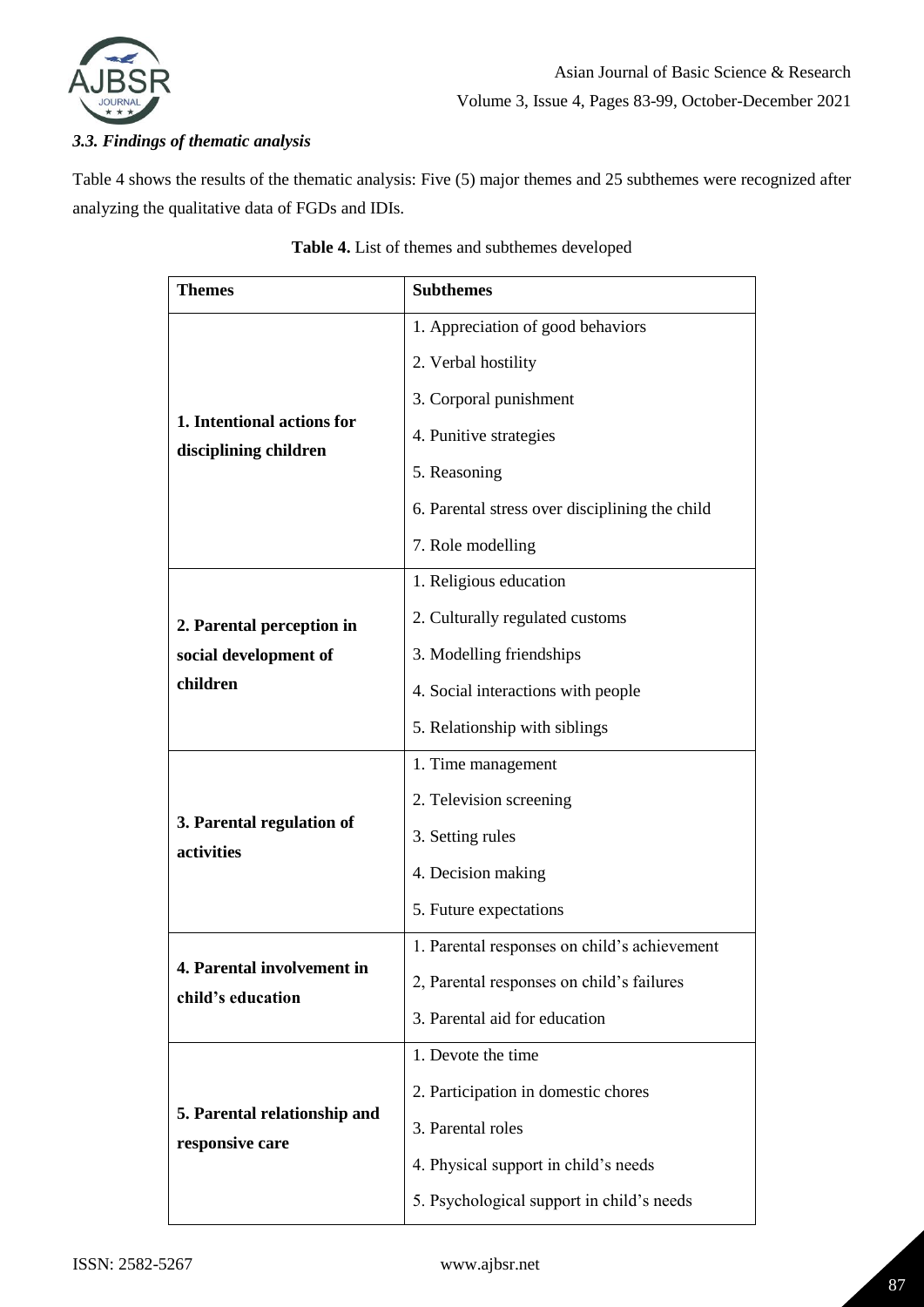

## *3.3. Findings of thematic analysis*

Table 4 shows the results of the thematic analysis: Five (5) major themes and 25 subthemes were recognized after analyzing the qualitative data of FGDs and IDIs.

| <b>Themes</b>                | <b>Subthemes</b>                               |  |
|------------------------------|------------------------------------------------|--|
|                              | 1. Appreciation of good behaviors              |  |
|                              | 2. Verbal hostility                            |  |
|                              | 3. Corporal punishment                         |  |
| 1. Intentional actions for   | 4. Punitive strategies                         |  |
| disciplining children        | 5. Reasoning                                   |  |
|                              | 6. Parental stress over disciplining the child |  |
|                              | 7. Role modelling                              |  |
|                              | 1. Religious education                         |  |
| 2. Parental perception in    | 2. Culturally regulated customs                |  |
| social development of        | 3. Modelling friendships                       |  |
| children                     | 4. Social interactions with people             |  |
|                              | 5. Relationship with siblings                  |  |
|                              | 1. Time management                             |  |
|                              | 2. Television screening                        |  |
| 3. Parental regulation of    | 3. Setting rules                               |  |
| activities                   | 4. Decision making                             |  |
|                              | 5. Future expectations                         |  |
|                              | 1. Parental responses on child's achievement   |  |
| 4. Parental involvement in   | 2, Parental responses on child's failures      |  |
| child's education            | 3. Parental aid for education                  |  |
|                              | 1. Devote the time                             |  |
|                              | 2. Participation in domestic chores            |  |
| 5. Parental relationship and | 3. Parental roles                              |  |
| responsive care              | 4. Physical support in child's needs           |  |
|                              | 5. Psychological support in child's needs      |  |

## **Table 4.** List of themes and subthemes developed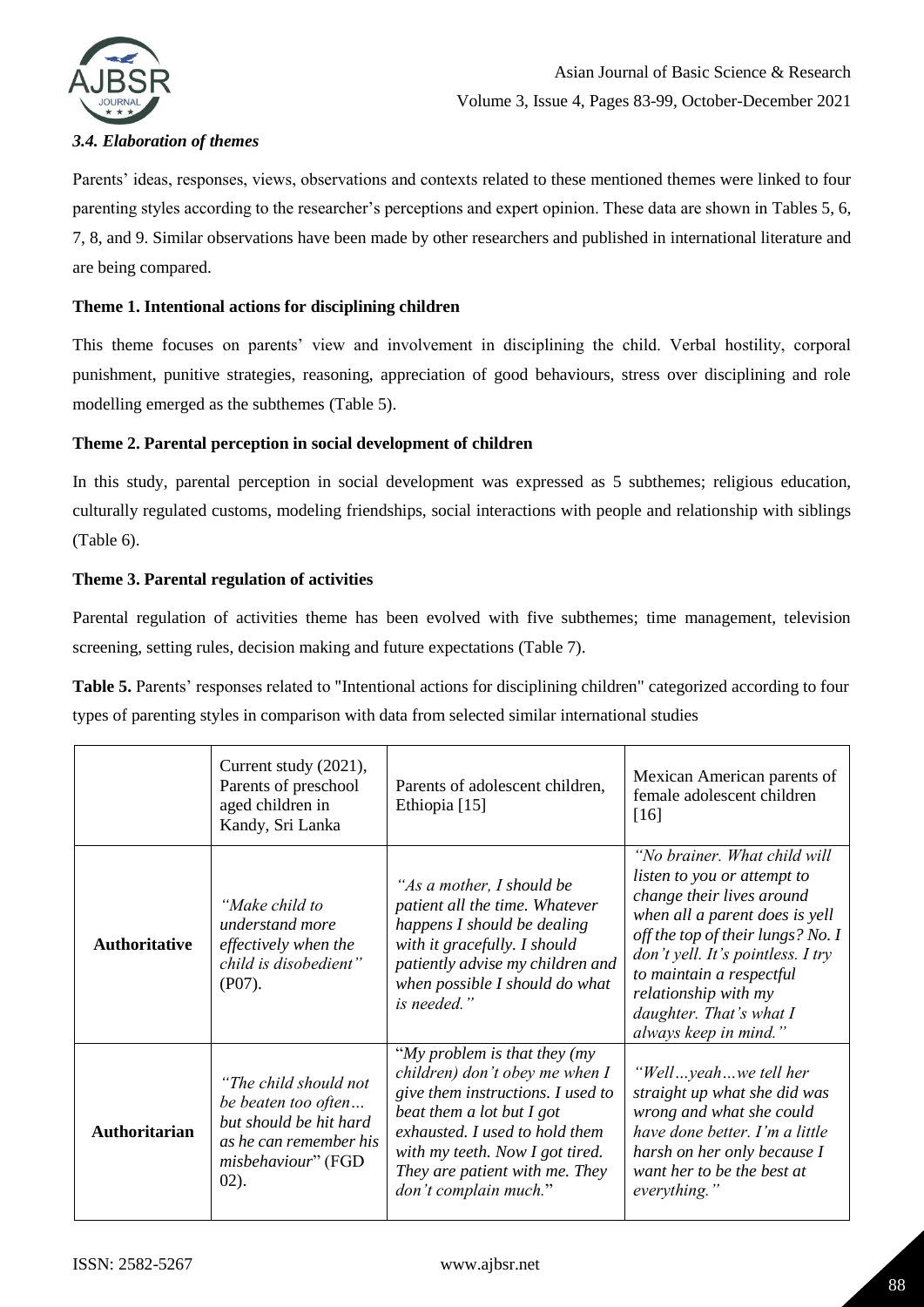

## *3.4. Elaboration of themes*

Parents' ideas, responses, views, observations and contexts related to these mentioned themes were linked to four parenting styles according to the researcher's perceptions and expert opinion. These data are shown in Tables 5, 6, 7, 8, and 9. Similar observations have been made by other researchers and published in international literature and are being compared.

### **Theme 1. Intentional actions for disciplining children**

This theme focuses on parents' view and involvement in disciplining the child. Verbal hostility, corporal punishment, punitive strategies, reasoning, appreciation of good behaviours, stress over disciplining and role modelling emerged as the subthemes (Table 5).

### **Theme 2. Parental perception in social development of children**

In this study, parental perception in social development was expressed as 5 subthemes; religious education, culturally regulated customs, modeling friendships, social interactions with people and relationship with siblings (Table 6).

### **Theme 3. Parental regulation of activities**

Parental regulation of activities theme has been evolved with five subthemes; time management, television screening, setting rules, decision making and future expectations (Table 7).

**Table 5.** Parents' responses related to "Intentional actions for disciplining children" categorized according to four types of parenting styles in comparison with data from selected similar international studies

|                      | Current study (2021),<br>Parents of preschool<br>aged children in<br>Kandy, Sri Lanka                                             | Parents of adolescent children,<br>Ethiopia [15]                                                                                                                                                                                                                      | Mexican American parents of<br>female adolescent children<br>[16]                                                                                                                                                                                                                                                     |
|----------------------|-----------------------------------------------------------------------------------------------------------------------------------|-----------------------------------------------------------------------------------------------------------------------------------------------------------------------------------------------------------------------------------------------------------------------|-----------------------------------------------------------------------------------------------------------------------------------------------------------------------------------------------------------------------------------------------------------------------------------------------------------------------|
| <b>Authoritative</b> | "Make child to<br>understand more<br>effectively when the<br>child is disobedient"<br>(PO7).                                      | "As a mother, I should be<br>patient all the time. Whatever<br>happens I should be dealing<br>with it gracefully. I should<br>patiently advise my children and<br>when possible I should do what<br>is needed."                                                       | "No brainer. What child will<br><i>listen to you or attempt to</i><br>change their lives around<br>when all a parent does is yell<br>off the top of their lungs? No. I<br>don't yell. It's pointless. I try<br>to maintain a respectful<br>relationship with my<br>daughter. That's what $I$<br>always keep in mind." |
| <b>Authoritarian</b> | "The child should not<br>be beaten too often<br>but should be hit hard<br>as he can remember his<br>misbehaviour" (FGD<br>$02$ ). | "My problem is that they $(my)$<br>children) don't obey me when I<br>give them instructions. I used to<br>beat them a lot but $I$ got<br>exhausted. I used to hold them<br>with my teeth. Now I got tired.<br>They are patient with me. They<br>don't complain much." | "Wellyeahwe tell her<br>straight up what she did was<br>wrong and what she could<br>have done better. I'm a little<br>harsh on her only because I<br>want her to be the best at<br>everything."                                                                                                                       |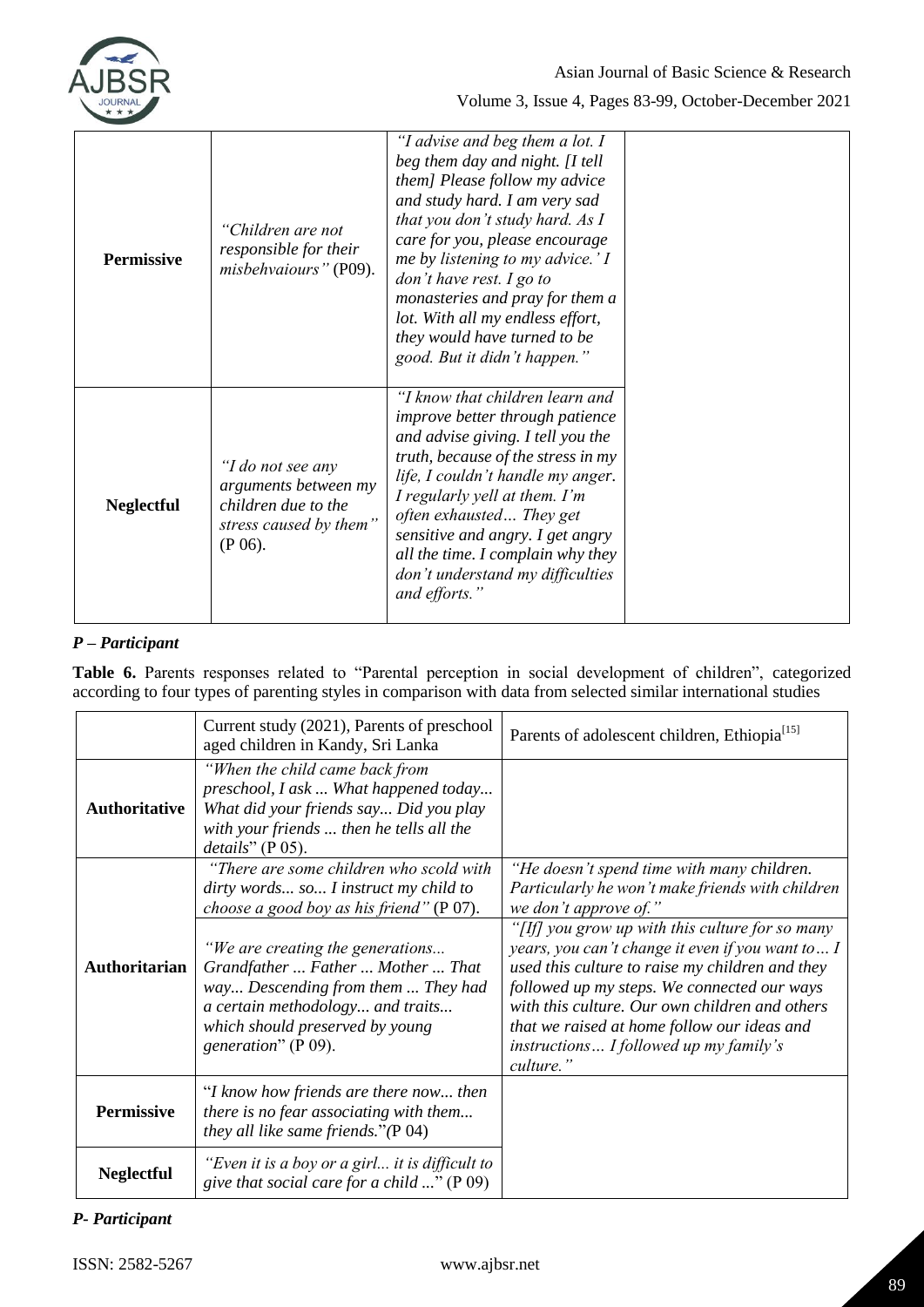

| <b>Permissive</b> | "Children are not<br>responsible for their<br>misbehvaiours" (P09).                                      | "I advise and beg them a lot. I<br>beg them day and night. [I tell<br>them] Please follow my advice<br>and study hard. I am very sad<br>that you don't study hard. As I<br>care for you, please encourage<br>me by listening to my advice.' I<br>don't have rest. I go to<br>monasteries and pray for them a<br>lot. With all my endless effort,<br>they would have turned to be<br>good. But it didn't happen." |  |
|-------------------|----------------------------------------------------------------------------------------------------------|------------------------------------------------------------------------------------------------------------------------------------------------------------------------------------------------------------------------------------------------------------------------------------------------------------------------------------------------------------------------------------------------------------------|--|
| <b>Neglectful</b> | "I do not see any<br>arguments between my<br>children due to the<br>stress caused by them"<br>$(P 06)$ . | "I know that children learn and<br><i>improve better through patience</i><br>and advise giving. I tell you the<br>truth, because of the stress in my<br>life, I couldn't handle my anger.<br>I regularly yell at them. I'm<br>often exhausted They get<br>sensitive and angry. I get angry<br>all the time. I complain why they<br>don't understand my difficulties<br>and efforts."                             |  |

## *P – Participant*

**Table 6.** Parents responses related to "Parental perception in social development of children", categorized according to four types of parenting styles in comparison with data from selected similar international studies

|                      | Current study (2021), Parents of preschool<br>aged children in Kandy, Sri Lanka                                                                                                                           | Parents of adolescent children, Ethiopia <sup>[15]</sup>                                                                                                                                                                                                                                                                                                      |
|----------------------|-----------------------------------------------------------------------------------------------------------------------------------------------------------------------------------------------------------|---------------------------------------------------------------------------------------------------------------------------------------------------------------------------------------------------------------------------------------------------------------------------------------------------------------------------------------------------------------|
| <b>Authoritative</b> | "When the child came back from<br>preschool, I ask  What happened today<br>What did your friends say Did you play<br>with your friends  then he tells all the<br>details''(P 05).                         |                                                                                                                                                                                                                                                                                                                                                               |
|                      | "There are some children who scold with<br>dirty words so I instruct my child to<br>choose a good boy as his friend" (P 07).                                                                              | "He doesn't spend time with many children.<br>Particularly he won't make friends with children<br>we don't approve of."                                                                                                                                                                                                                                       |
| Authoritarian        | "We are creating the generations<br>Grandfather  Father  Mother  That<br>way Descending from them  They had<br>a certain methodology and traits<br>which should preserved by young<br>generation" (P 09). | "[If] you grow up with this culture for so many<br>years, you can't change it even if you want to I<br>used this culture to raise my children and they<br>followed up my steps. We connected our ways<br>with this culture. Our own children and others<br>that we raised at home follow our ideas and<br>instructions I followed up my family's<br>culture." |
| Permissive           | "I know how friends are there now then<br>there is no fear associating with them<br>they all like same friends." $(P 04)$                                                                                 |                                                                                                                                                                                                                                                                                                                                                               |
| <b>Neglectful</b>    | "Even it is a boy or a girl it is difficult to<br>give that social care for a child " ( $P$ 09)                                                                                                           |                                                                                                                                                                                                                                                                                                                                                               |

## *P- Participant*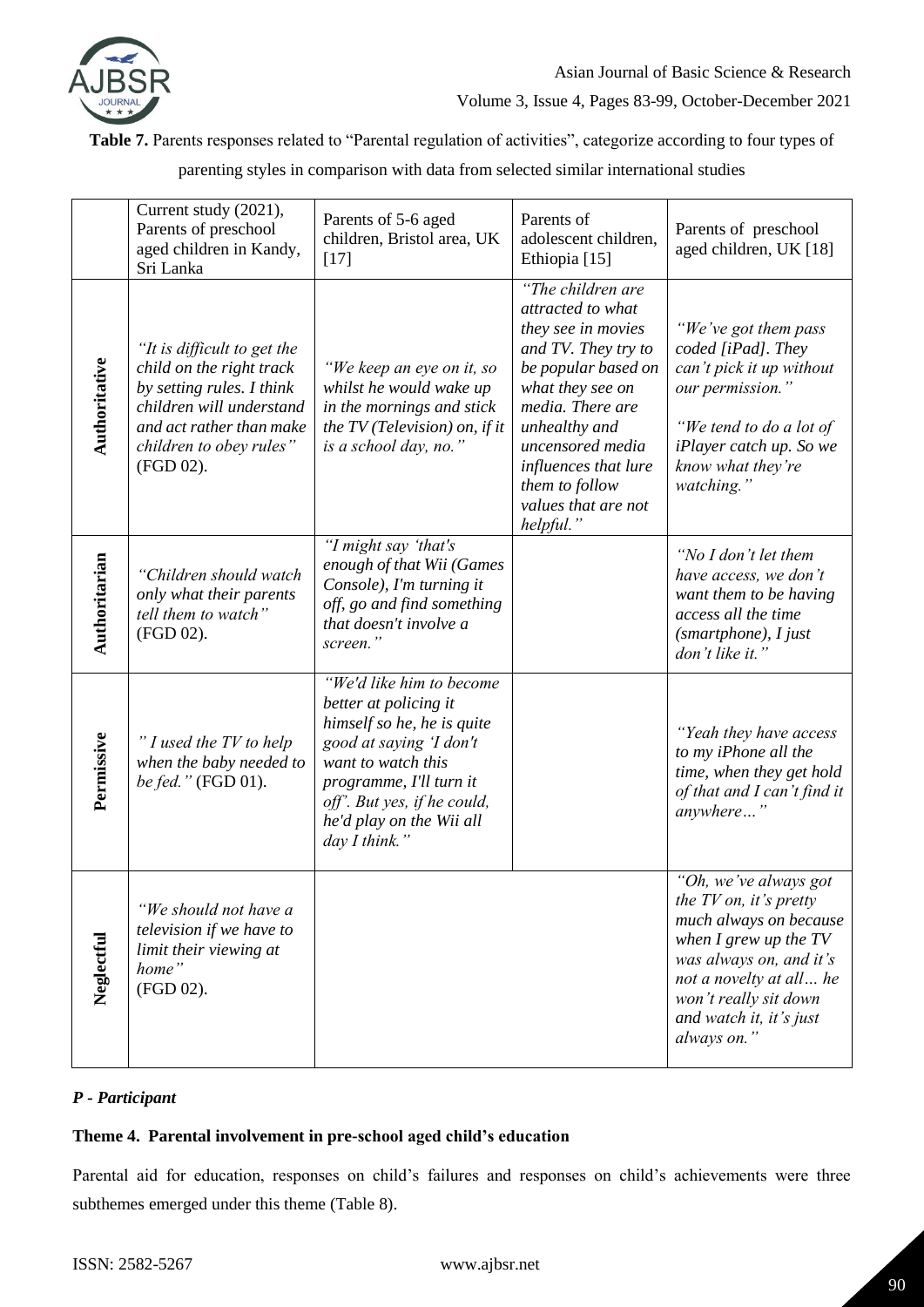

**Table 7.** Parents responses related to "Parental regulation of activities", categorize according to four types of

parenting styles in comparison with data from selected similar international studies

|               | Current study (2021),<br>Parents of preschool<br>aged children in Kandy,<br>Sri Lanka                                                                                                | Parents of 5-6 aged<br>children, Bristol area, UK<br>$[17]$                                                                                                                                                                             | Parents of<br>adolescent children,<br>Ethiopia [15]                                                                                                                                                                                                                   | Parents of preschool<br>aged children, UK [18]                                                                                                                                                                                    |
|---------------|--------------------------------------------------------------------------------------------------------------------------------------------------------------------------------------|-----------------------------------------------------------------------------------------------------------------------------------------------------------------------------------------------------------------------------------------|-----------------------------------------------------------------------------------------------------------------------------------------------------------------------------------------------------------------------------------------------------------------------|-----------------------------------------------------------------------------------------------------------------------------------------------------------------------------------------------------------------------------------|
| Authoritative | "It is difficult to get the<br>child on the right track<br>by setting rules. I think<br>children will understand<br>and act rather than make<br>children to obey rules"<br>(FGD 02). | "We keep an eye on it, so<br>whilst he would wake up<br>in the mornings and stick<br>the $TV$ (Television) on, if it<br>is a school day, no."                                                                                           | "The children are<br>attracted to what<br>they see in movies<br>and TV. They try to<br>be popular based on<br>what they see on<br>media. There are<br>unhealthy and<br>uncensored media<br>influences that lure<br>them to follow<br>values that are not<br>helpful." | "We've got them pass<br>coded [iPad]. They<br>can't pick it up without<br>our permission."<br>"We tend to do a lot of<br><i>iPlayer catch up. So we</i><br>know what they're<br>watching."                                        |
| Authoritarian | "Children should watch<br>only what their parents<br>tell them to watch"<br>(FGD 02).                                                                                                | "I might say 'that's<br>enough of that Wii (Games<br>Console), I'm turning it<br>off, go and find something<br>that doesn't involve a<br>screen."                                                                                       |                                                                                                                                                                                                                                                                       | "No I don't let them<br>have access, we don't<br>want them to be having<br>access all the time<br>$(smartphone)$ , I just<br>don't like it."                                                                                      |
| Permissive    | "I used the TV to help<br>when the baby needed to<br>be fed." (FGD 01).                                                                                                              | "We'd like him to become<br>better at policing it<br>himself so he, he is quite<br>good at saying 'I don't<br>want to watch this<br>programme, I'll turn it<br>off'. But yes, if he could,<br>he'd play on the Wii all<br>day I think." |                                                                                                                                                                                                                                                                       | "Yeah they have access<br>to my iPhone all the<br>time, when they get hold<br>of that and I can't find it<br>anywhere"                                                                                                            |
| Neglectful    | "We should not have a<br>television if we have to<br>limit their viewing at<br>home"<br>(FGD 02).                                                                                    |                                                                                                                                                                                                                                         |                                                                                                                                                                                                                                                                       | "Oh, we've always got<br>the $TV$ on, it's pretty<br>much always on because<br>when $I$ grew up the $TV$<br>was always on, and it's<br>not a novelty at all he<br>won't really sit down<br>and watch it, it's just<br>always on." |

## *P - Participant*

## **Theme 4. Parental involvement in pre-school aged child's education**

Parental aid for education, responses on child's failures and responses on child's achievements were three subthemes emerged under this theme (Table 8).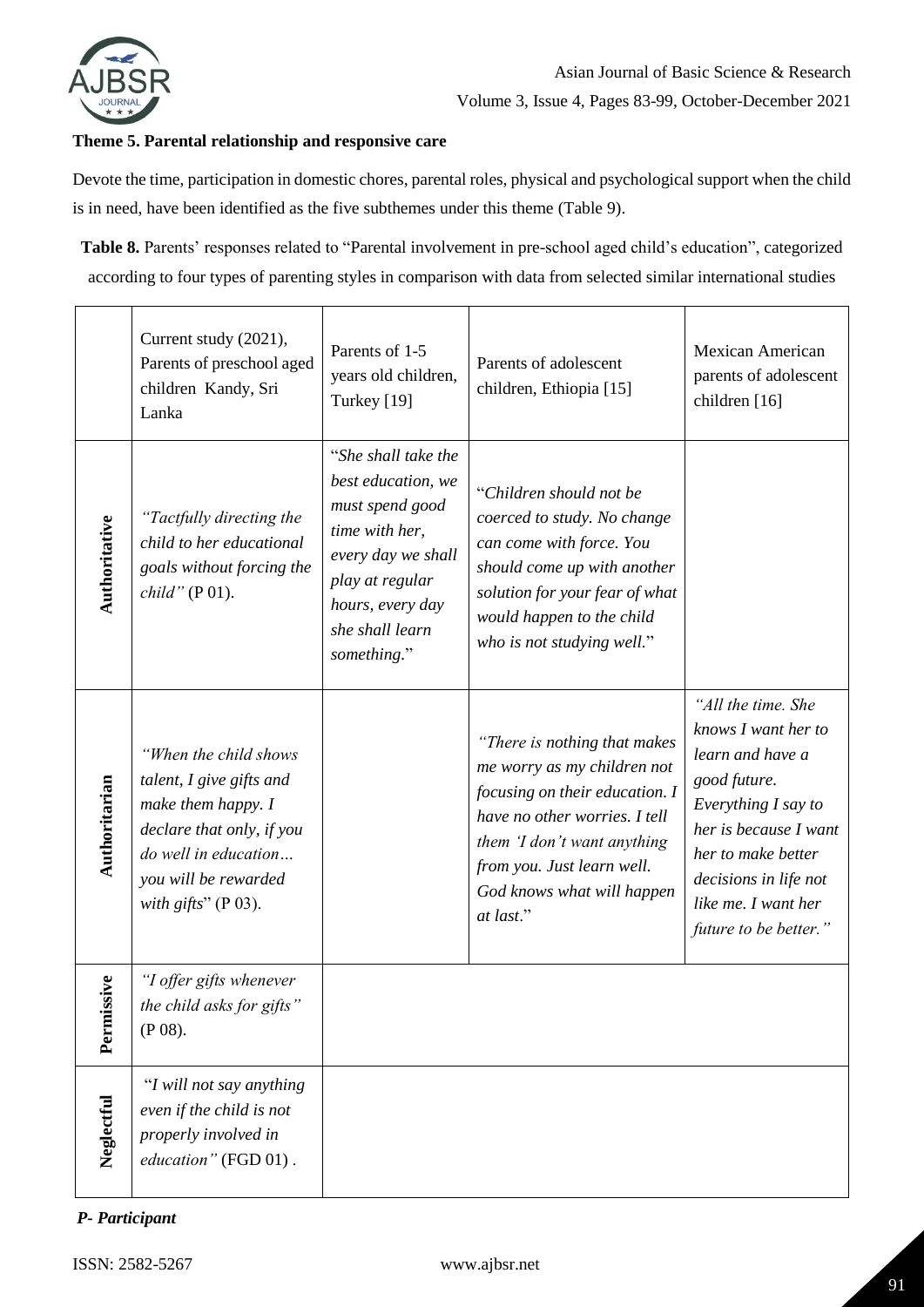

### **Theme 5. Parental relationship and responsive care**

Devote the time, participation in domestic chores, parental roles, physical and psychological support when the child is in need, have been identified as the five subthemes under this theme (Table 9).

**Table 8.** Parents' responses related to "Parental involvement in pre-school aged child's education", categorized according to four types of parenting styles in comparison with data from selected similar international studies

|               | Current study (2021),<br>Parents of preschool aged<br>children Kandy, Sri<br>Lanka                                                                                             | Parents of 1-5<br>years old children,<br>Turkey [19]                                                                                                                          | Parents of adolescent<br>children, Ethiopia [15]                                                                                                                                                                                       | <b>Mexican American</b><br>parents of adolescent<br>children [16]                                                                                                                                                            |
|---------------|--------------------------------------------------------------------------------------------------------------------------------------------------------------------------------|-------------------------------------------------------------------------------------------------------------------------------------------------------------------------------|----------------------------------------------------------------------------------------------------------------------------------------------------------------------------------------------------------------------------------------|------------------------------------------------------------------------------------------------------------------------------------------------------------------------------------------------------------------------------|
| Authoritative | "Tactfully directing the<br>child to her educational<br>goals without forcing the<br>child" (P 01).                                                                            | "She shall take the<br>best education, we<br>must spend good<br>time with her,<br>every day we shall<br>play at regular<br>hours, every day<br>she shall learn<br>something." | "Children should not be<br>coerced to study. No change<br>can come with force. You<br>should come up with another<br>solution for your fear of what<br>would happen to the child<br>who is not studying well."                         |                                                                                                                                                                                                                              |
| Authoritarian | "When the child shows<br>talent, I give gifts and<br>make them happy. I<br>declare that only, if you<br>do well in education<br>you will be rewarded<br>with gifts" $(P 03)$ . |                                                                                                                                                                               | "There is nothing that makes<br>me worry as my children not<br>focusing on their education. I<br>have no other worries. I tell<br>them 'I don't want anything<br>from you. Just learn well.<br>God knows what will happen<br>at last." | "All the time. She<br>knows I want her to<br>learn and have a<br>good future.<br>Everything I say to<br>her is because I want<br>her to make better<br>decisions in life not<br>like me. I want her<br>future to be better." |
| Permissive    | "I offer gifts whenever<br>the child asks for gifts"<br>$(P 08)$ .                                                                                                             |                                                                                                                                                                               |                                                                                                                                                                                                                                        |                                                                                                                                                                                                                              |
| Neglectful    | "I will not say anything<br>even if the child is not<br>properly involved in<br>education" (FGD 01).                                                                           |                                                                                                                                                                               |                                                                                                                                                                                                                                        |                                                                                                                                                                                                                              |

## *P- Participant*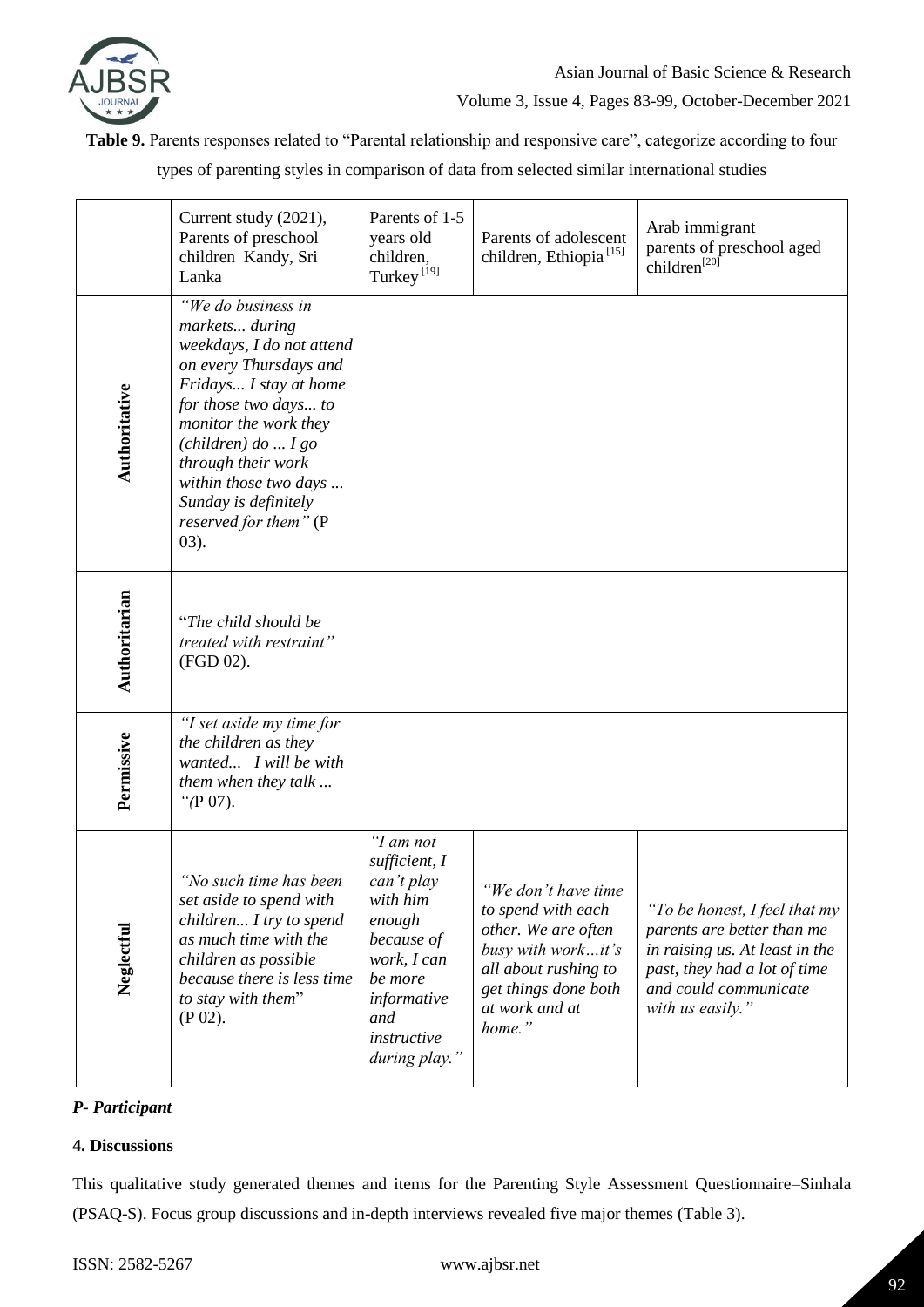

**Table 9.** Parents responses related to "Parental relationship and responsive care", categorize according to four

types of parenting styles in comparison of data from selected similar international studies

|               | Current study (2021),<br>Parents of preschool<br>children Kandy, Sri<br>Lanka                                                                                                                                                                                                                                               | Parents of 1-5<br>years old<br>children,<br>Turkey <sup>[19]</sup>                                                                                           | Parents of adolescent<br>children, Ethiopia <sup>[15]</sup>                                                                                                        | Arab immigrant<br>parents of preschool aged<br>children <sup>[20]</sup>                                                                                                    |
|---------------|-----------------------------------------------------------------------------------------------------------------------------------------------------------------------------------------------------------------------------------------------------------------------------------------------------------------------------|--------------------------------------------------------------------------------------------------------------------------------------------------------------|--------------------------------------------------------------------------------------------------------------------------------------------------------------------|----------------------------------------------------------------------------------------------------------------------------------------------------------------------------|
| Authoritative | "We do business in<br>markets during<br>weekdays, I do not attend<br>on every Thursdays and<br>Fridays I stay at home<br>for those two days to<br>monitor the work they<br>$\left($ children $\right)$ do  I go<br>through their work<br>within those two days<br>Sunday is definitely<br>reserved for them" (P<br>$(03)$ . |                                                                                                                                                              |                                                                                                                                                                    |                                                                                                                                                                            |
| Authoritarian | "The child should be<br>treated with restraint"<br>(FGD 02).                                                                                                                                                                                                                                                                |                                                                                                                                                              |                                                                                                                                                                    |                                                                                                                                                                            |
| Permissive    | "I set aside my time for<br>the children as they<br>wanted I will be with<br>them when they talk<br>" $(P 07)$ .                                                                                                                                                                                                            |                                                                                                                                                              |                                                                                                                                                                    |                                                                                                                                                                            |
| Neglectful    | "No such time has been<br>set aside to spend with<br>children I try to spend<br>as much time with the<br>children as possible<br>because there is less time<br>to stay with them"<br>$(P 02)$ .                                                                                                                             | "I am not<br>sufficient, I<br>can't play<br>with him<br>enough<br>because of<br>work, I can<br>be more<br>informative<br>and<br>instructive<br>during play." | "We don't have time<br>to spend with each<br>other. We are often<br>busy with workit's<br>all about rushing to<br>get things done both<br>at work and at<br>home." | "To be honest, I feel that my<br>parents are better than me<br>in raising us. At least in the<br>past, they had a lot of time<br>and could communicate<br>with us easily." |

## *P- Participant*

## **4. Discussions**

This qualitative study generated themes and items for the Parenting Style Assessment Questionnaire–Sinhala (PSAQ-S). Focus group discussions and in-depth interviews revealed five major themes (Table 3).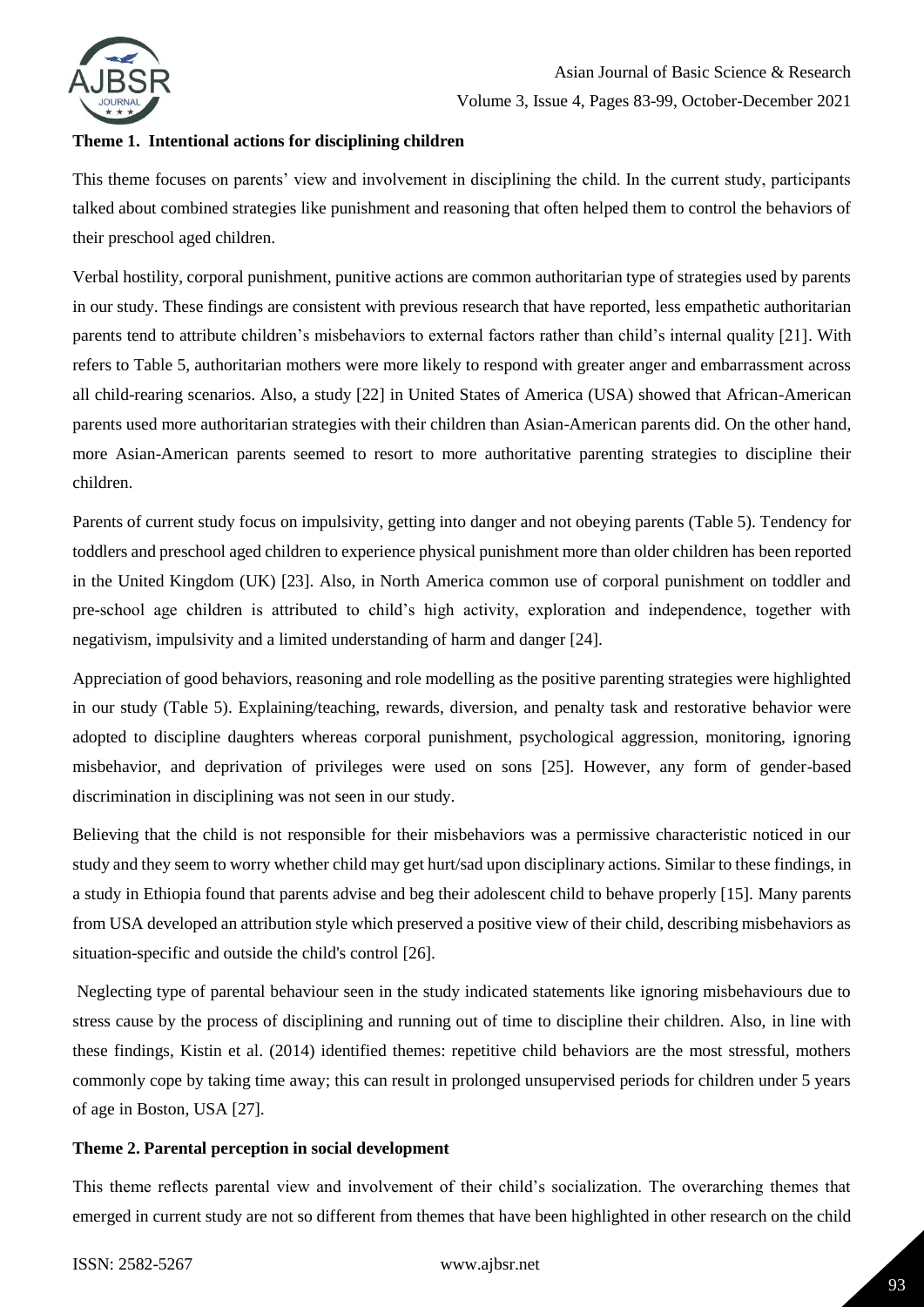

### **Theme 1. Intentional actions for disciplining children**

This theme focuses on parents' view and involvement in disciplining the child. In the current study, participants talked about combined strategies like punishment and reasoning that often helped them to control the behaviors of their preschool aged children.

Verbal hostility, corporal punishment, punitive actions are common authoritarian type of strategies used by parents in our study. These findings are consistent with previous research that have reported, less empathetic authoritarian parents tend to attribute children's misbehaviors to external factors rather than child's internal quality [21]. With refers to Table 5, authoritarian mothers were more likely to respond with greater anger and embarrassment across all child-rearing scenarios. Also, a study [22] in United States of America (USA) showed that African-American parents used more authoritarian strategies with their children than Asian-American parents did. On the other hand, more Asian-American parents seemed to resort to more authoritative parenting strategies to discipline their children.

Parents of current study focus on impulsivity, getting into danger and not obeying parents (Table 5). Tendency for toddlers and preschool aged children to experience physical punishment more than older children has been reported in the United Kingdom (UK) [23]. Also, in North America common use of corporal punishment on toddler and pre-school age children is attributed to child's high activity, exploration and independence, together with negativism, impulsivity and a limited understanding of harm and danger [24].

Appreciation of good behaviors, reasoning and role modelling as the positive parenting strategies were highlighted in our study (Table 5). Explaining/teaching, rewards, diversion, and penalty task and restorative behavior were adopted to discipline daughters whereas corporal punishment, psychological aggression, monitoring, ignoring misbehavior, and deprivation of privileges were used on sons [25]. However, any form of gender-based discrimination in disciplining was not seen in our study.

Believing that the child is not responsible for their misbehaviors was a permissive characteristic noticed in our study and they seem to worry whether child may get hurt/sad upon disciplinary actions. Similar to these findings, in a study in Ethiopia found that parents advise and beg their adolescent child to behave properly [15]. Many parents from USA developed an attribution style which preserved a positive view of their child, describing misbehaviors as situation-specific and outside the child's control [26].

Neglecting type of parental behaviour seen in the study indicated statements like ignoring misbehaviours due to stress cause by the process of disciplining and running out of time to discipline their children. Also, in line with these findings, Kistin et al. (2014) identified themes: repetitive child behaviors are the most stressful, mothers commonly cope by taking time away; this can result in prolonged unsupervised periods for children under 5 years of age in Boston, USA [27].

## **Theme 2. Parental perception in social development**

This theme reflects parental view and involvement of their child's socialization. The overarching themes that emerged in current study are not so different from themes that have been highlighted in other research on the child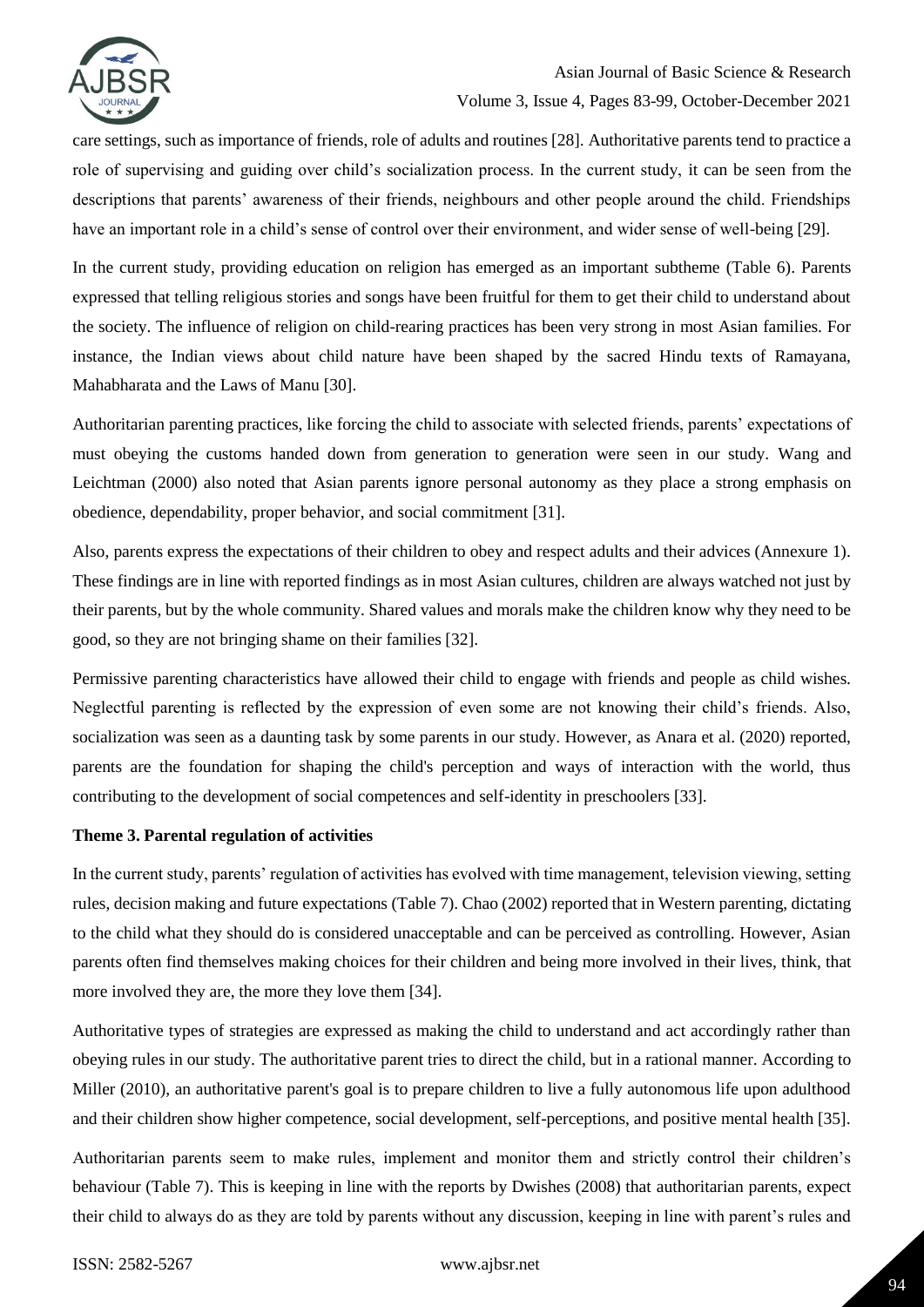

care settings, such as importance of friends, role of adults and routines [28]. Authoritative parents tend to practice a role of supervising and guiding over child's socialization process. In the current study, it can be seen from the descriptions that parents' awareness of their friends, neighbours and other people around the child. Friendships have an important role in a child's sense of control over their environment, and wider sense of well-being [29].

In the current study, providing education on religion has emerged as an important subtheme (Table 6). Parents expressed that telling religious stories and songs have been fruitful for them to get their child to understand about the society. The influence of religion on child-rearing practices has been very strong in most Asian families. For instance, the Indian views about child nature have been shaped by the sacred Hindu texts of Ramayana, Mahabharata and the Laws of Manu [30].

Authoritarian parenting practices, like forcing the child to associate with selected friends, parents' expectations of must obeying the customs handed down from generation to generation were seen in our study. Wang and Leichtman (2000) also noted that Asian parents ignore personal autonomy as they place a strong emphasis on obedience, dependability, proper behavior, and social commitment [31].

Also, parents express the expectations of their children to obey and respect adults and their advices (Annexure 1). These findings are in line with reported findings as in most Asian cultures, children are always watched not just by their parents, but by the whole community. Shared values and morals make the children know why they need to be good, so they are not bringing shame on their families [32].

Permissive parenting characteristics have allowed their child to engage with friends and people as child wishes. Neglectful parenting is reflected by the expression of even some are not knowing their child's friends. Also, socialization was seen as a daunting task by some parents in our study. However, as Anara et al. (2020) reported, parents are the foundation for shaping the child's perception and ways of interaction with the world, thus contributing to the development of social competences and self-identity in preschoolers [33].

### **Theme 3. Parental regulation of activities**

In the current study, parents' regulation of activities has evolved with time management, television viewing, setting rules, decision making and future expectations (Table 7). Chao (2002) reported that in Western parenting, dictating to the child what they should do is considered unacceptable and can be perceived as controlling. However, Asian parents often find themselves making choices for their children and being more involved in their lives, think, that more involved they are, the more they love them [34].

Authoritative types of strategies are expressed as making the child to understand and act accordingly rather than obeying rules in our study. The authoritative parent tries to direct the child, but in a rational manner. According to Miller (2010), an authoritative parent's goal is to prepare children to live a fully autonomous life upon adulthood and their children show higher competence, social development, self-perceptions, and positive mental health [35].

Authoritarian parents seem to make rules, implement and monitor them and strictly control their children's behaviour (Table 7). This is keeping in line with the reports by Dwishes (2008) that authoritarian parents, expect their child to always do as they are told by parents without any discussion, keeping in line with parent's rules and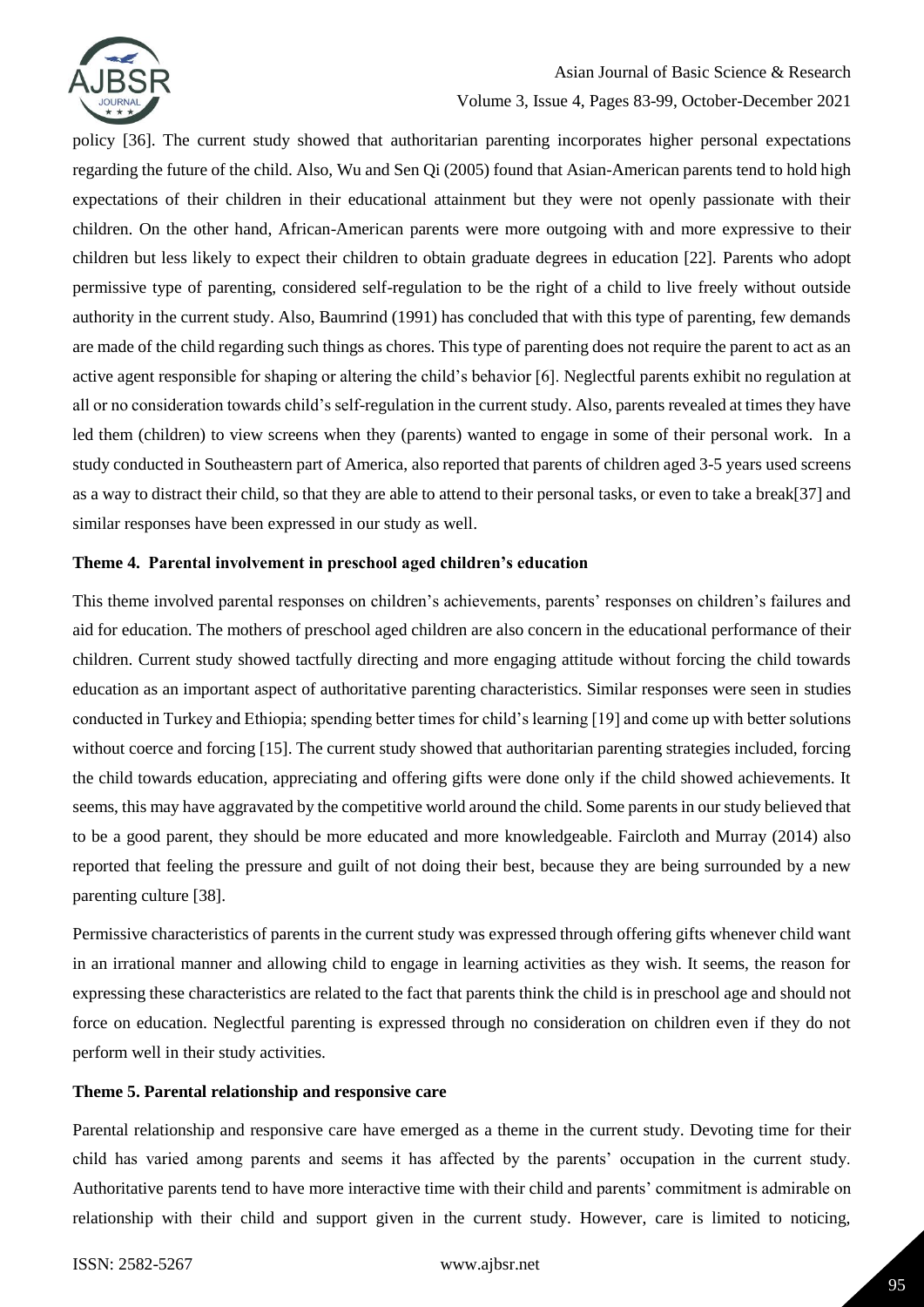

## Asian Journal of Basic Science & Research

### Volume 3, Issue 4, Pages 83-99, October-December 2021

policy [36]. The current study showed that authoritarian parenting incorporates higher personal expectations regarding the future of the child. Also, Wu and Sen Qi (2005) found that Asian-American parents tend to hold high expectations of their children in their educational attainment but they were not openly passionate with their children. On the other hand, African-American parents were more outgoing with and more expressive to their children but less likely to expect their children to obtain graduate degrees in education [22]. Parents who adopt permissive type of parenting, considered self-regulation to be the right of a child to live freely without outside authority in the current study. Also, Baumrind (1991) has concluded that with this type of parenting, few demands are made of the child regarding such things as chores. This type of parenting does not require the parent to act as an active agent responsible for shaping or altering the child's behavior [6]. Neglectful parents exhibit no regulation at all or no consideration towards child's self-regulation in the current study. Also, parents revealed at times they have led them (children) to view screens when they (parents) wanted to engage in some of their personal work. In a study conducted in Southeastern part of America, also reported that parents of children aged 3-5 years used screens as a way to distract their child, so that they are able to attend to their personal tasks, or even to take a break[37] and similar responses have been expressed in our study as well.

### **Theme 4. Parental involvement in preschool aged children's education**

This theme involved parental responses on children's achievements, parents' responses on children's failures and aid for education. The mothers of preschool aged children are also concern in the educational performance of their children. Current study showed tactfully directing and more engaging attitude without forcing the child towards education as an important aspect of authoritative parenting characteristics. Similar responses were seen in studies conducted in Turkey and Ethiopia; spending better times for child's learning [19] and come up with better solutions without coerce and forcing [15]. The current study showed that authoritarian parenting strategies included, forcing the child towards education, appreciating and offering gifts were done only if the child showed achievements. It seems, this may have aggravated by the competitive world around the child. Some parents in our study believed that to be a good parent, they should be more educated and more knowledgeable. Faircloth and Murray (2014) also reported that feeling the pressure and guilt of not doing their best, because they are being surrounded by a new parenting culture [38].

Permissive characteristics of parents in the current study was expressed through offering gifts whenever child want in an irrational manner and allowing child to engage in learning activities as they wish. It seems, the reason for expressing these characteristics are related to the fact that parents think the child is in preschool age and should not force on education. Neglectful parenting is expressed through no consideration on children even if they do not perform well in their study activities.

#### **Theme 5. Parental relationship and responsive care**

Parental relationship and responsive care have emerged as a theme in the current study. Devoting time for their child has varied among parents and seems it has affected by the parents' occupation in the current study. Authoritative parents tend to have more interactive time with their child and parents' commitment is admirable on relationship with their child and support given in the current study. However, care is limited to noticing,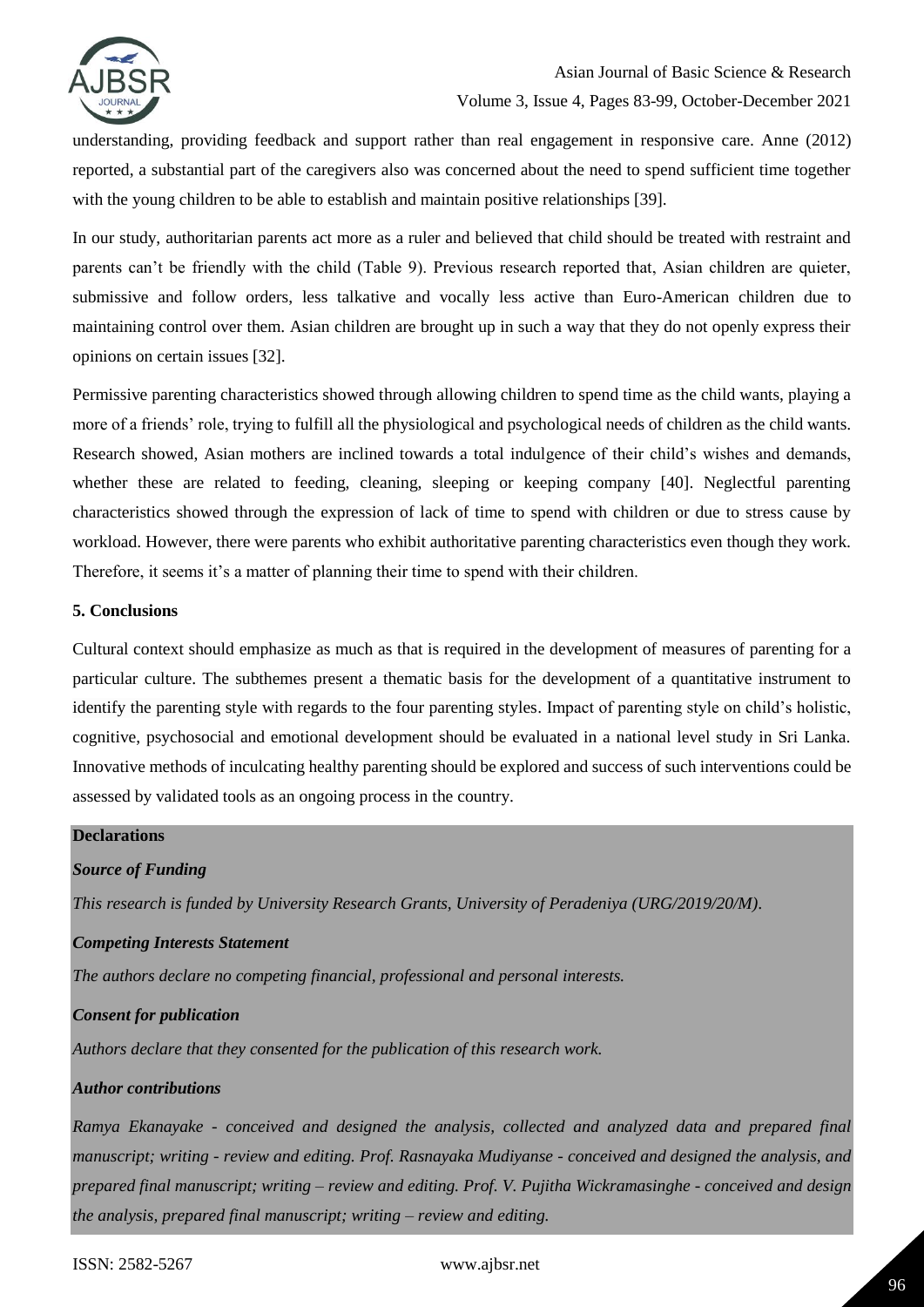

understanding, providing feedback and support rather than real engagement in responsive care. Anne (2012) reported, a substantial part of the caregivers also was concerned about the need to spend sufficient time together with the young children to be able to establish and maintain positive relationships [39].

In our study, authoritarian parents act more as a ruler and believed that child should be treated with restraint and parents can't be friendly with the child (Table 9). Previous research reported that, Asian children are quieter, submissive and follow orders, less talkative and vocally less active than Euro-American children due to maintaining control over them. Asian children are brought up in such a way that they do not openly express their opinions on certain issues [32].

Permissive parenting characteristics showed through allowing children to spend time as the child wants, playing a more of a friends' role, trying to fulfill all the physiological and psychological needs of children as the child wants. Research showed, Asian mothers are inclined towards a total indulgence of their child's wishes and demands, whether these are related to feeding, cleaning, sleeping or keeping company [40]. Neglectful parenting characteristics showed through the expression of lack of time to spend with children or due to stress cause by workload. However, there were parents who exhibit authoritative parenting characteristics even though they work. Therefore, it seems it's a matter of planning their time to spend with their children.

#### **5. Conclusions**

Cultural context should emphasize as much as that is required in the development of measures of parenting for a particular culture. The subthemes present a thematic basis for the development of a quantitative instrument to identify the parenting style with regards to the four parenting styles. Impact of parenting style on child's holistic, cognitive, psychosocial and emotional development should be evaluated in a national level study in Sri Lanka. Innovative methods of inculcating healthy parenting should be explored and success of such interventions could be assessed by validated tools as an ongoing process in the country.

### **Declarations**

### *Source of Funding*

*This research is funded by University Research Grants, University of Peradeniya (URG/2019/20/M).*

### *Competing Interests Statement*

*The authors declare no competing financial, professional and personal interests.*

### *Consent for publication*

*Authors declare that they consented for the publication of this research work.* 

### *Author contributions*

*Ramya Ekanayake - conceived and designed the analysis, collected and analyzed data and prepared final manuscript; writing - review and editing. Prof. Rasnayaka Mudiyanse - conceived and designed the analysis, and prepared final manuscript; writing – review and editing. Prof. V. Pujitha Wickramasinghe - conceived and design the analysis, prepared final manuscript; writing – review and editing.*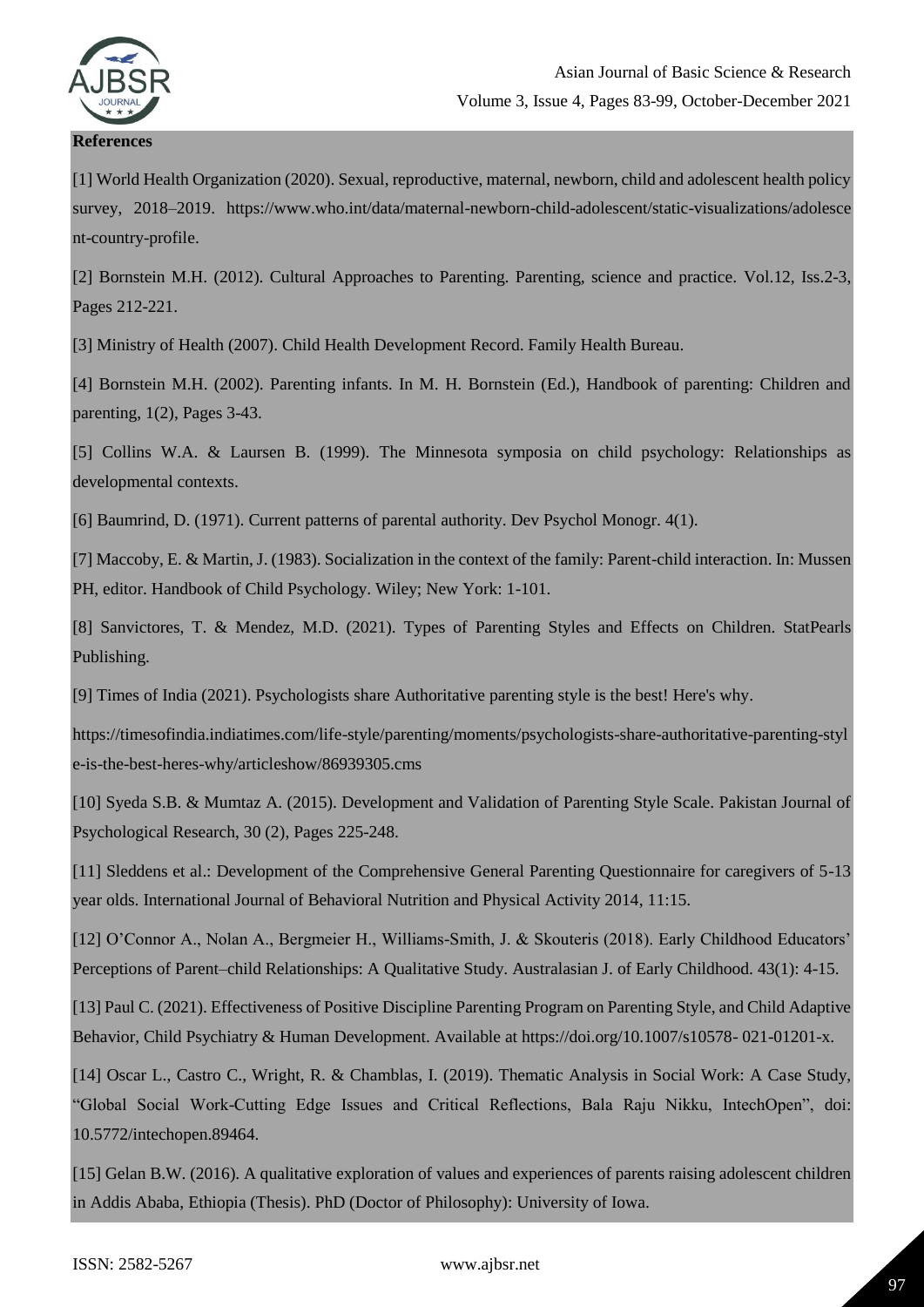

**References**

# Asian Journal of Basic Science & Research Volume 3, Issue 4, Pages 83-99, October-December 2021

[1] World Health Organization (2020). Sexual, reproductive, maternal, newborn, child and adolescent health policy survey, 2018–2019. https://www.who.int/data/maternal-newborn-child-adolescent/static-visualizations/adolesce nt-country-profile.

[2] Bornstein M.H. (2012). Cultural Approaches to Parenting. Parenting, science and practice. Vol.12, Iss.2-3, Pages 212-221.

[3] Ministry of Health (2007). Child Health Development Record. Family Health Bureau.

[4] Bornstein M.H. (2002). Parenting infants. In M. H. Bornstein (Ed.), Handbook of parenting: Children and parenting, 1(2), Pages 3-43.

[5] Collins W.A. & Laursen B. (1999). The Minnesota symposia on child psychology: Relationships as developmental contexts.

[6] Baumrind, D. (1971). Current patterns of parental authority. Dev Psychol Monogr. 4(1).

[7] Maccoby, E. & Martin, J. (1983). Socialization in the context of the family: Parent-child interaction. In: Mussen PH, editor. Handbook of Child Psychology. Wiley; New York: 1-101.

[8] Sanvictores, T. & Mendez, M.D. (2021). Types of Parenting Styles and Effects on Children. StatPearls Publishing.

[9] Times of India (2021). Psychologists share Authoritative parenting style is the best! Here's why.

https://timesofindia.indiatimes.com/life-style/parenting/moments/psychologists-share-authoritative-parenting-styl e-is-the-best-heres-why/articleshow/86939305.cms

[10] Syeda S.B. & Mumtaz A. (2015). Development and Validation of Parenting Style Scale. Pakistan Journal of Psychological Research, 30 (2), Pages 225-248.

[11] Sleddens et al.: Development of the Comprehensive General Parenting Questionnaire for caregivers of 5-13 year olds. International Journal of Behavioral Nutrition and Physical Activity 2014, 11:15.

[12] O'Connor A., Nolan A., Bergmeier H., Williams-Smith, J. & Skouteris (2018). Early Childhood Educators' Perceptions of Parent–child Relationships: A Qualitative Study. Australasian J. of Early Childhood. 43(1): 4-15.

[13] Paul C. (2021). Effectiveness of Positive Discipline Parenting Program on Parenting Style, and Child Adaptive Behavior, Child Psychiatry & Human Development. Available at https://doi.org/10.1007/s10578- 021-01201-x.

[14] Oscar L., Castro C., Wright, R. & Chamblas, I. (2019). Thematic Analysis in Social Work: A Case Study, "Global Social Work-Cutting Edge Issues and Critical Reflections, Bala Raju Nikku, IntechOpen", doi: 10.5772/intechopen.89464.

[15] Gelan B.W. (2016). A qualitative exploration of values and experiences of parents raising adolescent children in Addis Ababa, Ethiopia (Thesis). PhD (Doctor of Philosophy): University of Iowa.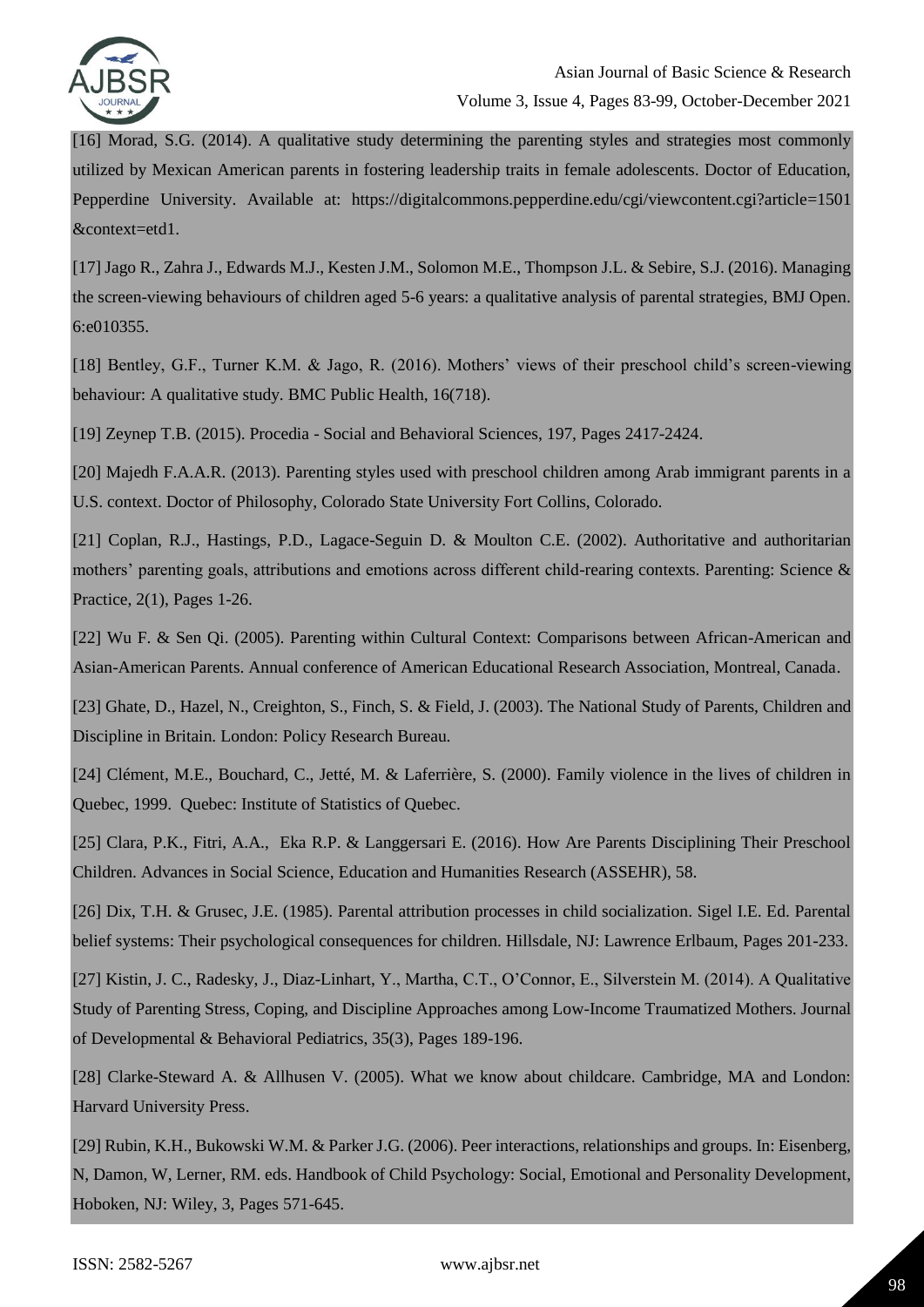

[16] Morad, S.G. (2014). A qualitative study determining the parenting styles and strategies most commonly utilized by Mexican American parents in fostering leadership traits in female adolescents. Doctor of Education, Pepperdine University. Available at: https://digitalcommons.pepperdine.edu/cgi/viewcontent.cgi?article=1501 &context=etd1.

[17] Jago R., Zahra J., Edwards M.J., Kesten J.M., Solomon M.E., Thompson J.L. & Sebire, S.J. (2016). Managing the screen-viewing behaviours of children aged 5-6 years: a qualitative analysis of parental strategies, BMJ Open. 6:e010355.

[18] Bentley, G.F., Turner K.M. & Jago, R. (2016). Mothers' views of their preschool child's screen-viewing behaviour: A qualitative study. BMC Public Health, 16(718).

[19] Zeynep T.B. (2015). Procedia - Social and Behavioral Sciences, 197, Pages 2417-2424.

[20] Majedh F.A.A.R. (2013). Parenting styles used with preschool children among Arab immigrant parents in a U.S. context. Doctor of Philosophy, Colorado State University Fort Collins, Colorado.

[21] Coplan, R.J., Hastings, P.D., Lagace-Seguin D. & Moulton C.E. (2002). Authoritative and authoritarian mothers' parenting goals, attributions and emotions across different child-rearing contexts. Parenting: Science & Practice, 2(1), Pages 1-26.

[22] Wu F. & Sen Qi. (2005). Parenting within Cultural Context: Comparisons between African-American and Asian-American Parents. Annual conference of American Educational Research Association, Montreal, Canada.

[23] Ghate, D., Hazel, N., Creighton, S., Finch, S. & Field, J. (2003). The National Study of Parents, Children and Discipline in Britain. London: Policy Research Bureau.

[24] Clément, M.E., Bouchard, C., Jetté, M. & Laferrière, S. (2000). Family violence in the lives of children in Quebec, 1999. Quebec: Institute of Statistics of Quebec.

[25] Clara, P.K., Fitri, A.A., Eka R.P. & Langgersari E. (2016). How Are Parents Disciplining Their Preschool Children. Advances in Social Science, Education and Humanities Research (ASSEHR), 58.

[26] Dix, T.H. & Grusec, J.E. (1985). Parental attribution processes in child socialization. Sigel I.E. Ed. Parental belief systems: Their psychological consequences for children. Hillsdale, NJ: Lawrence Erlbaum, Pages 201-233.

[27] Kistin, J. C., Radesky, J., Diaz-Linhart, Y., Martha, C.T., O'Connor, E., Silverstein M. (2014). A Qualitative Study of Parenting Stress, Coping, and Discipline Approaches among Low-Income Traumatized Mothers. Journal of Developmental & Behavioral Pediatrics, 35(3), Pages 189-196.

[28] Clarke-Steward A. & Allhusen V. (2005). What we know about childcare. Cambridge, MA and London: Harvard University Press.

[29] Rubin, K.H., Bukowski W.M. & Parker J.G. (2006). Peer interactions, relationships and groups. In: Eisenberg, N, Damon, W, Lerner, RM. eds. Handbook of Child Psychology: Social, Emotional and Personality Development, Hoboken, NJ: Wiley, 3, Pages 571-645.